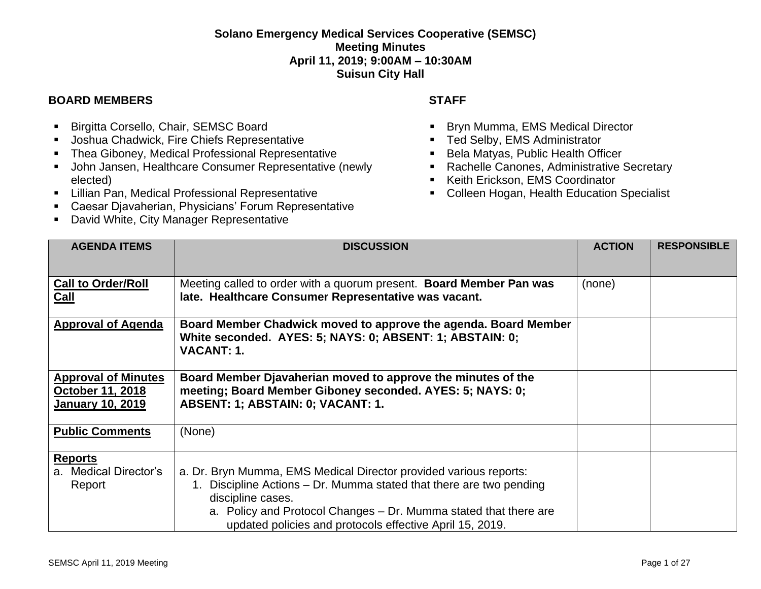## **Solano Emergency Medical Services Cooperative (SEMSC) Meeting Minutes April 11, 2019; 9:00AM – 10:30AM Suisun City Hall**

## **BOARD MEMBERS STAFF**

- Birgitta Corsello, Chair, SEMSC Board
- Joshua Chadwick, Fire Chiefs Representative
- Thea Giboney, Medical Professional Representative
- John Jansen, Healthcare Consumer Representative (newly elected)
- **E.** Lillian Pan, Medical Professional Representative
- Caesar Djavaherian, Physicians' Forum Representative
- David White, City Manager Representative

- Bryn Mumma, EMS Medical Director
- Ted Selby, EMS Administrator
- Bela Matyas, Public Health Officer
- Rachelle Canones, Administrative Secretary
- Keith Erickson, EMS Coordinator
- Colleen Hogan, Health Education Specialist

| <b>AGENDA ITEMS</b>                                                              | <b>DISCUSSION</b>                                                                                                                                                                                                                                                                             | <b>ACTION</b> | <b>RESPONSIBLE</b> |
|----------------------------------------------------------------------------------|-----------------------------------------------------------------------------------------------------------------------------------------------------------------------------------------------------------------------------------------------------------------------------------------------|---------------|--------------------|
|                                                                                  |                                                                                                                                                                                                                                                                                               |               |                    |
| <b>Call to Order/Roll</b><br>Call                                                | Meeting called to order with a quorum present. Board Member Pan was<br>late. Healthcare Consumer Representative was vacant.                                                                                                                                                                   | (none)        |                    |
| <b>Approval of Agenda</b>                                                        | Board Member Chadwick moved to approve the agenda. Board Member<br>White seconded. AYES: 5; NAYS: 0; ABSENT: 1; ABSTAIN: 0;<br><b>VACANT: 1.</b>                                                                                                                                              |               |                    |
| <b>Approval of Minutes</b><br><b>October 11, 2018</b><br><b>January 10, 2019</b> | Board Member Djavaherian moved to approve the minutes of the<br>meeting; Board Member Giboney seconded. AYES: 5; NAYS: 0;<br>ABSENT: 1; ABSTAIN: 0; VACANT: 1.                                                                                                                                |               |                    |
| <b>Public Comments</b>                                                           | (None)                                                                                                                                                                                                                                                                                        |               |                    |
| <b>Reports</b><br>a. Medical Director's<br>Report                                | a. Dr. Bryn Mumma, EMS Medical Director provided various reports:<br>1. Discipline Actions – Dr. Mumma stated that there are two pending<br>discipline cases.<br>a. Policy and Protocol Changes – Dr. Mumma stated that there are<br>updated policies and protocols effective April 15, 2019. |               |                    |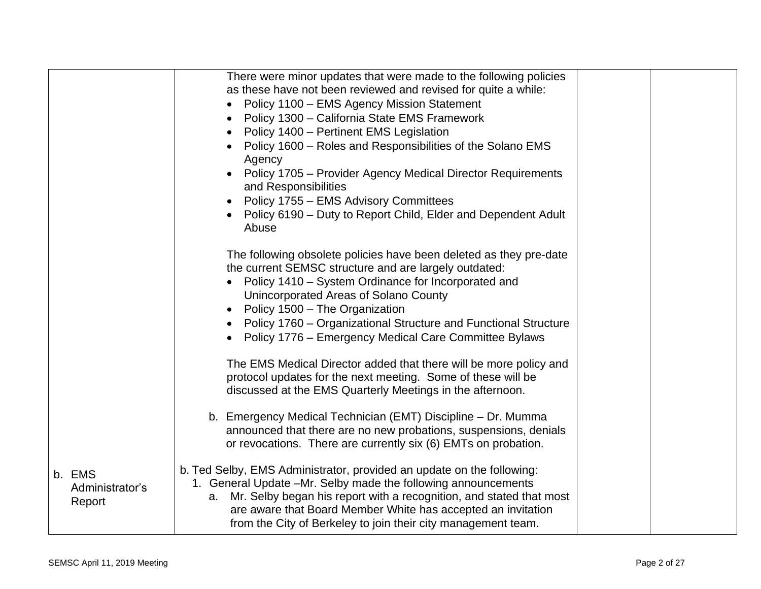|                                     | There were minor updates that were made to the following policies<br>as these have not been reviewed and revised for quite a while:<br>Policy 1100 - EMS Agency Mission Statement<br>$\bullet$<br>Policy 1300 - California State EMS Framework<br>$\bullet$<br>Policy 1400 - Pertinent EMS Legislation<br>$\bullet$<br>Policy 1600 - Roles and Responsibilities of the Solano EMS<br>Agency<br>Policy 1705 - Provider Agency Medical Director Requirements<br>and Responsibilities<br>Policy 1755 – EMS Advisory Committees<br>$\bullet$ |  |
|-------------------------------------|------------------------------------------------------------------------------------------------------------------------------------------------------------------------------------------------------------------------------------------------------------------------------------------------------------------------------------------------------------------------------------------------------------------------------------------------------------------------------------------------------------------------------------------|--|
|                                     | Policy 6190 – Duty to Report Child, Elder and Dependent Adult<br>Abuse                                                                                                                                                                                                                                                                                                                                                                                                                                                                   |  |
|                                     | The following obsolete policies have been deleted as they pre-date<br>the current SEMSC structure and are largely outdated:<br>Policy 1410 – System Ordinance for Incorporated and<br>Unincorporated Areas of Solano County<br>• Policy 1500 - The Organization                                                                                                                                                                                                                                                                          |  |
|                                     | Policy 1760 – Organizational Structure and Functional Structure<br>Policy 1776 – Emergency Medical Care Committee Bylaws                                                                                                                                                                                                                                                                                                                                                                                                                 |  |
|                                     | The EMS Medical Director added that there will be more policy and<br>protocol updates for the next meeting. Some of these will be<br>discussed at the EMS Quarterly Meetings in the afternoon.                                                                                                                                                                                                                                                                                                                                           |  |
|                                     | b. Emergency Medical Technician (EMT) Discipline - Dr. Mumma<br>announced that there are no new probations, suspensions, denials<br>or revocations. There are currently six (6) EMTs on probation.                                                                                                                                                                                                                                                                                                                                       |  |
| b. EMS<br>Administrator's<br>Report | b. Ted Selby, EMS Administrator, provided an update on the following:<br>1. General Update -Mr. Selby made the following announcements<br>a. Mr. Selby began his report with a recognition, and stated that most<br>are aware that Board Member White has accepted an invitation<br>from the City of Berkeley to join their city management team.                                                                                                                                                                                        |  |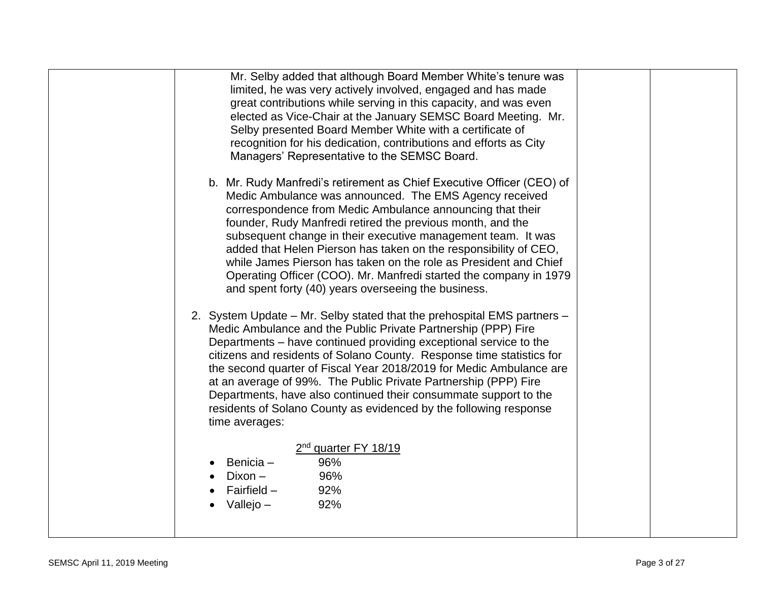| Mr. Selby added that although Board Member White's tenure was<br>limited, he was very actively involved, engaged and has made<br>great contributions while serving in this capacity, and was even<br>elected as Vice-Chair at the January SEMSC Board Meeting. Mr.<br>Selby presented Board Member White with a certificate of<br>recognition for his dedication, contributions and efforts as City<br>Managers' Representative to the SEMSC Board.                                                                                                                                            |  |
|------------------------------------------------------------------------------------------------------------------------------------------------------------------------------------------------------------------------------------------------------------------------------------------------------------------------------------------------------------------------------------------------------------------------------------------------------------------------------------------------------------------------------------------------------------------------------------------------|--|
| b. Mr. Rudy Manfredi's retirement as Chief Executive Officer (CEO) of<br>Medic Ambulance was announced. The EMS Agency received<br>correspondence from Medic Ambulance announcing that their<br>founder, Rudy Manfredi retired the previous month, and the<br>subsequent change in their executive management team. It was<br>added that Helen Pierson has taken on the responsibility of CEO,<br>while James Pierson has taken on the role as President and Chief<br>Operating Officer (COO). Mr. Manfredi started the company in 1979<br>and spent forty (40) years overseeing the business. |  |
| 2. System Update - Mr. Selby stated that the prehospital EMS partners -<br>Medic Ambulance and the Public Private Partnership (PPP) Fire<br>Departments – have continued providing exceptional service to the<br>citizens and residents of Solano County. Response time statistics for<br>the second quarter of Fiscal Year 2018/2019 for Medic Ambulance are<br>at an average of 99%. The Public Private Partnership (PPP) Fire<br>Departments, have also continued their consummate support to the<br>residents of Solano County as evidenced by the following response<br>time averages:    |  |
| 2 <sup>nd</sup> quarter FY 18/19<br>96%<br>Benicia -<br>Dixon -<br>96%<br>Fairfield $-$<br>92%<br>Vallejo -<br>92%                                                                                                                                                                                                                                                                                                                                                                                                                                                                             |  |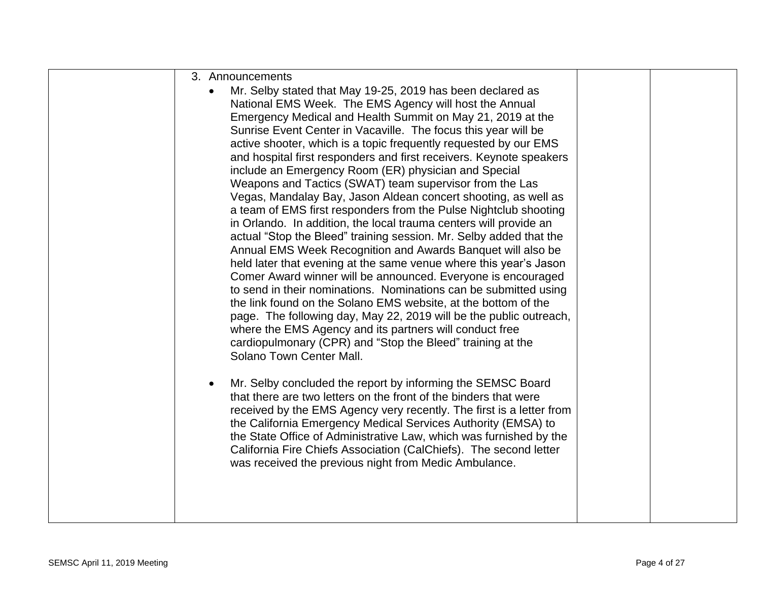| 3. Announcements                                                                                                              |  |
|-------------------------------------------------------------------------------------------------------------------------------|--|
| Mr. Selby stated that May 19-25, 2019 has been declared as<br>$\bullet$                                                       |  |
| National EMS Week. The EMS Agency will host the Annual                                                                        |  |
| Emergency Medical and Health Summit on May 21, 2019 at the                                                                    |  |
| Sunrise Event Center in Vacaville. The focus this year will be                                                                |  |
| active shooter, which is a topic frequently requested by our EMS                                                              |  |
| and hospital first responders and first receivers. Keynote speakers                                                           |  |
| include an Emergency Room (ER) physician and Special<br>Weapons and Tactics (SWAT) team supervisor from the Las               |  |
| Vegas, Mandalay Bay, Jason Aldean concert shooting, as well as                                                                |  |
| a team of EMS first responders from the Pulse Nightclub shooting                                                              |  |
| in Orlando. In addition, the local trauma centers will provide an                                                             |  |
| actual "Stop the Bleed" training session. Mr. Selby added that the                                                            |  |
| Annual EMS Week Recognition and Awards Banquet will also be                                                                   |  |
| held later that evening at the same venue where this year's Jason                                                             |  |
| Comer Award winner will be announced. Everyone is encouraged                                                                  |  |
| to send in their nominations. Nominations can be submitted using                                                              |  |
| the link found on the Solano EMS website, at the bottom of the                                                                |  |
| page. The following day, May 22, 2019 will be the public outreach,<br>where the EMS Agency and its partners will conduct free |  |
| cardiopulmonary (CPR) and "Stop the Bleed" training at the                                                                    |  |
| Solano Town Center Mall.                                                                                                      |  |
|                                                                                                                               |  |
| Mr. Selby concluded the report by informing the SEMSC Board<br>$\bullet$                                                      |  |
| that there are two letters on the front of the binders that were                                                              |  |
| received by the EMS Agency very recently. The first is a letter from                                                          |  |
| the California Emergency Medical Services Authority (EMSA) to                                                                 |  |
| the State Office of Administrative Law, which was furnished by the                                                            |  |
| California Fire Chiefs Association (CalChiefs). The second letter                                                             |  |
| was received the previous night from Medic Ambulance.                                                                         |  |
|                                                                                                                               |  |
|                                                                                                                               |  |
|                                                                                                                               |  |
|                                                                                                                               |  |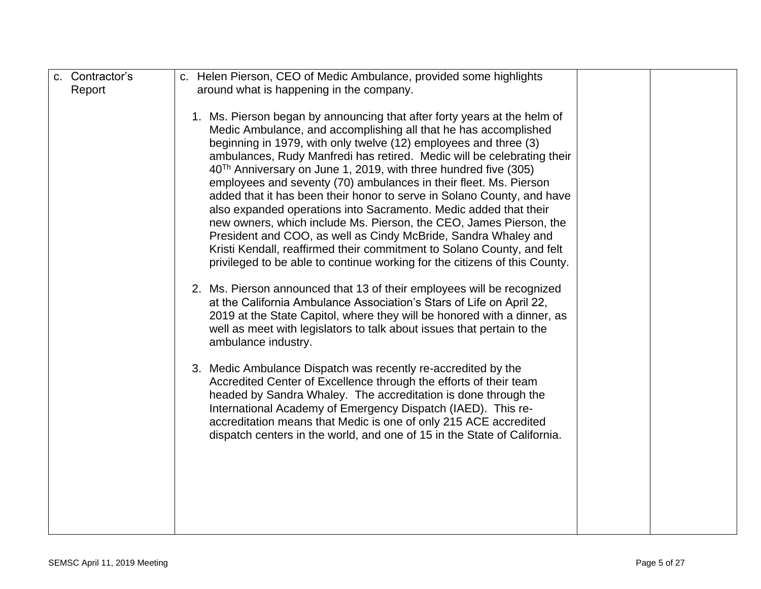| c. Contractor's | c. Helen Pierson, CEO of Medic Ambulance, provided some highlights                                                                                                                                                                                                                                                                                                                                                                                                                                                                                                                                                                                                                                                                                                                                                                                                                                                                                                                                                                                                                                                                                                                                                                                                                                                                                                                                                                                                                                                                                                                                                                      |  |
|-----------------|-----------------------------------------------------------------------------------------------------------------------------------------------------------------------------------------------------------------------------------------------------------------------------------------------------------------------------------------------------------------------------------------------------------------------------------------------------------------------------------------------------------------------------------------------------------------------------------------------------------------------------------------------------------------------------------------------------------------------------------------------------------------------------------------------------------------------------------------------------------------------------------------------------------------------------------------------------------------------------------------------------------------------------------------------------------------------------------------------------------------------------------------------------------------------------------------------------------------------------------------------------------------------------------------------------------------------------------------------------------------------------------------------------------------------------------------------------------------------------------------------------------------------------------------------------------------------------------------------------------------------------------------|--|
| Report          | around what is happening in the company.                                                                                                                                                                                                                                                                                                                                                                                                                                                                                                                                                                                                                                                                                                                                                                                                                                                                                                                                                                                                                                                                                                                                                                                                                                                                                                                                                                                                                                                                                                                                                                                                |  |
|                 | 1. Ms. Pierson began by announcing that after forty years at the helm of<br>Medic Ambulance, and accomplishing all that he has accomplished<br>beginning in 1979, with only twelve (12) employees and three (3)<br>ambulances, Rudy Manfredi has retired. Medic will be celebrating their<br>$40Th$ Anniversary on June 1, 2019, with three hundred five (305)<br>employees and seventy (70) ambulances in their fleet. Ms. Pierson<br>added that it has been their honor to serve in Solano County, and have<br>also expanded operations into Sacramento. Medic added that their<br>new owners, which include Ms. Pierson, the CEO, James Pierson, the<br>President and COO, as well as Cindy McBride, Sandra Whaley and<br>Kristi Kendall, reaffirmed their commitment to Solano County, and felt<br>privileged to be able to continue working for the citizens of this County.<br>2. Ms. Pierson announced that 13 of their employees will be recognized<br>at the California Ambulance Association's Stars of Life on April 22,<br>2019 at the State Capitol, where they will be honored with a dinner, as<br>well as meet with legislators to talk about issues that pertain to the<br>ambulance industry.<br>3. Medic Ambulance Dispatch was recently re-accredited by the<br>Accredited Center of Excellence through the efforts of their team<br>headed by Sandra Whaley. The accreditation is done through the<br>International Academy of Emergency Dispatch (IAED). This re-<br>accreditation means that Medic is one of only 215 ACE accredited<br>dispatch centers in the world, and one of 15 in the State of California. |  |
|                 |                                                                                                                                                                                                                                                                                                                                                                                                                                                                                                                                                                                                                                                                                                                                                                                                                                                                                                                                                                                                                                                                                                                                                                                                                                                                                                                                                                                                                                                                                                                                                                                                                                         |  |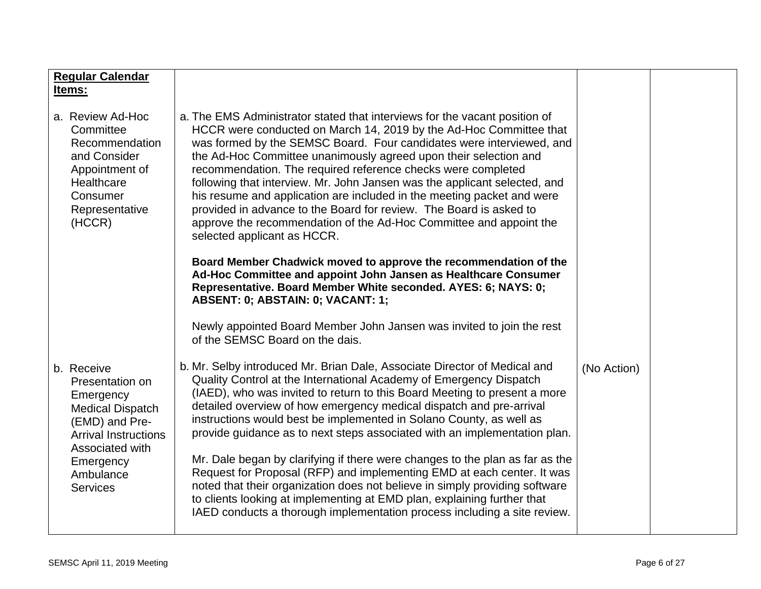| <b>Regular Calendar</b><br>Items:                                                                                                                                                      |                                                                                                                                                                                                                                                                                                                                                                                                                                                                                                                                                                                                                                                                                                                                                                                                                                                         |             |  |
|----------------------------------------------------------------------------------------------------------------------------------------------------------------------------------------|---------------------------------------------------------------------------------------------------------------------------------------------------------------------------------------------------------------------------------------------------------------------------------------------------------------------------------------------------------------------------------------------------------------------------------------------------------------------------------------------------------------------------------------------------------------------------------------------------------------------------------------------------------------------------------------------------------------------------------------------------------------------------------------------------------------------------------------------------------|-------------|--|
| a. Review Ad-Hoc<br>Committee<br>Recommendation<br>and Consider<br>Appointment of<br>Healthcare<br>Consumer<br>Representative<br>(HCCR)                                                | a. The EMS Administrator stated that interviews for the vacant position of<br>HCCR were conducted on March 14, 2019 by the Ad-Hoc Committee that<br>was formed by the SEMSC Board. Four candidates were interviewed, and<br>the Ad-Hoc Committee unanimously agreed upon their selection and<br>recommendation. The required reference checks were completed<br>following that interview. Mr. John Jansen was the applicant selected, and<br>his resume and application are included in the meeting packet and were<br>provided in advance to the Board for review. The Board is asked to<br>approve the recommendation of the Ad-Hoc Committee and appoint the<br>selected applicant as HCCR.                                                                                                                                                          |             |  |
|                                                                                                                                                                                        | Board Member Chadwick moved to approve the recommendation of the<br>Ad-Hoc Committee and appoint John Jansen as Healthcare Consumer<br>Representative. Board Member White seconded. AYES: 6; NAYS: 0;<br>ABSENT: 0; ABSTAIN: 0; VACANT: 1;                                                                                                                                                                                                                                                                                                                                                                                                                                                                                                                                                                                                              |             |  |
|                                                                                                                                                                                        | Newly appointed Board Member John Jansen was invited to join the rest<br>of the SEMSC Board on the dais.                                                                                                                                                                                                                                                                                                                                                                                                                                                                                                                                                                                                                                                                                                                                                |             |  |
| b. Receive<br>Presentation on<br>Emergency<br><b>Medical Dispatch</b><br>(EMD) and Pre-<br><b>Arrival Instructions</b><br>Associated with<br>Emergency<br>Ambulance<br><b>Services</b> | b. Mr. Selby introduced Mr. Brian Dale, Associate Director of Medical and<br>Quality Control at the International Academy of Emergency Dispatch<br>(IAED), who was invited to return to this Board Meeting to present a more<br>detailed overview of how emergency medical dispatch and pre-arrival<br>instructions would best be implemented in Solano County, as well as<br>provide guidance as to next steps associated with an implementation plan.<br>Mr. Dale began by clarifying if there were changes to the plan as far as the<br>Request for Proposal (RFP) and implementing EMD at each center. It was<br>noted that their organization does not believe in simply providing software<br>to clients looking at implementing at EMD plan, explaining further that<br>IAED conducts a thorough implementation process including a site review. | (No Action) |  |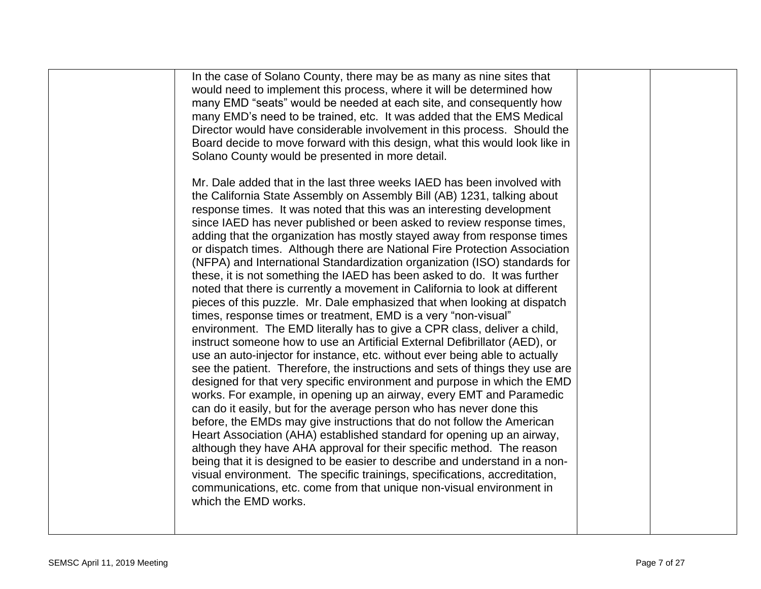| In the case of Solano County, there may be as many as nine sites that<br>would need to implement this process, where it will be determined how<br>many EMD "seats" would be needed at each site, and consequently how<br>many EMD's need to be trained, etc. It was added that the EMS Medical<br>Director would have considerable involvement in this process. Should the<br>Board decide to move forward with this design, what this would look like in<br>Solano County would be presented in more detail.<br>Mr. Dale added that in the last three weeks IAED has been involved with<br>the California State Assembly on Assembly Bill (AB) 1231, talking about<br>response times. It was noted that this was an interesting development<br>since IAED has never published or been asked to review response times,<br>adding that the organization has mostly stayed away from response times<br>or dispatch times. Although there are National Fire Protection Association<br>(NFPA) and International Standardization organization (ISO) standards for<br>these, it is not something the IAED has been asked to do. It was further<br>noted that there is currently a movement in California to look at different<br>pieces of this puzzle. Mr. Dale emphasized that when looking at dispatch<br>times, response times or treatment, EMD is a very "non-visual"<br>environment. The EMD literally has to give a CPR class, deliver a child,<br>instruct someone how to use an Artificial External Defibrillator (AED), or<br>use an auto-injector for instance, etc. without ever being able to actually<br>see the patient. Therefore, the instructions and sets of things they use are<br>designed for that very specific environment and purpose in which the EMD<br>works. For example, in opening up an airway, every EMT and Paramedic<br>can do it easily, but for the average person who has never done this<br>before, the EMDs may give instructions that do not follow the American<br>Heart Association (AHA) established standard for opening up an airway,<br>although they have AHA approval for their specific method. The reason |  |
|---------------------------------------------------------------------------------------------------------------------------------------------------------------------------------------------------------------------------------------------------------------------------------------------------------------------------------------------------------------------------------------------------------------------------------------------------------------------------------------------------------------------------------------------------------------------------------------------------------------------------------------------------------------------------------------------------------------------------------------------------------------------------------------------------------------------------------------------------------------------------------------------------------------------------------------------------------------------------------------------------------------------------------------------------------------------------------------------------------------------------------------------------------------------------------------------------------------------------------------------------------------------------------------------------------------------------------------------------------------------------------------------------------------------------------------------------------------------------------------------------------------------------------------------------------------------------------------------------------------------------------------------------------------------------------------------------------------------------------------------------------------------------------------------------------------------------------------------------------------------------------------------------------------------------------------------------------------------------------------------------------------------------------------------------------------------------------------------------------------------------------------------------------|--|
| being that it is designed to be easier to describe and understand in a non-<br>visual environment. The specific trainings, specifications, accreditation,<br>communications, etc. come from that unique non-visual environment in<br>which the EMD works.                                                                                                                                                                                                                                                                                                                                                                                                                                                                                                                                                                                                                                                                                                                                                                                                                                                                                                                                                                                                                                                                                                                                                                                                                                                                                                                                                                                                                                                                                                                                                                                                                                                                                                                                                                                                                                                                                               |  |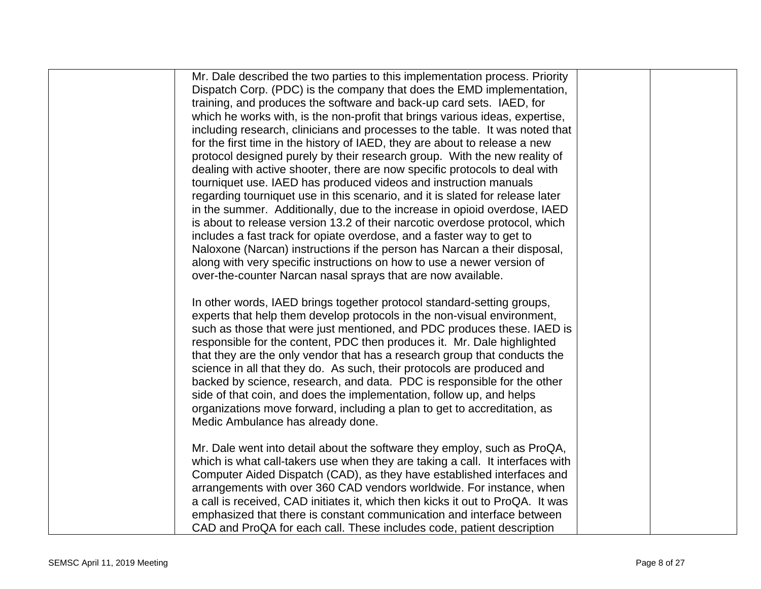| Mr. Dale described the two parties to this implementation process. Priority    |  |
|--------------------------------------------------------------------------------|--|
| Dispatch Corp. (PDC) is the company that does the EMD implementation,          |  |
| training, and produces the software and back-up card sets. IAED, for           |  |
| which he works with, is the non-profit that brings various ideas, expertise,   |  |
| including research, clinicians and processes to the table. It was noted that   |  |
| for the first time in the history of IAED, they are about to release a new     |  |
| protocol designed purely by their research group. With the new reality of      |  |
| dealing with active shooter, there are now specific protocols to deal with     |  |
| tourniquet use. IAED has produced videos and instruction manuals               |  |
| regarding tourniquet use in this scenario, and it is slated for release later  |  |
| in the summer. Additionally, due to the increase in opioid overdose, IAED      |  |
| is about to release version 13.2 of their narcotic overdose protocol, which    |  |
| includes a fast track for opiate overdose, and a faster way to get to          |  |
| Naloxone (Narcan) instructions if the person has Narcan a their disposal,      |  |
| along with very specific instructions on how to use a newer version of         |  |
| over-the-counter Narcan nasal sprays that are now available.                   |  |
|                                                                                |  |
| In other words, IAED brings together protocol standard-setting groups,         |  |
| experts that help them develop protocols in the non-visual environment,        |  |
| such as those that were just mentioned, and PDC produces these. IAED is        |  |
| responsible for the content, PDC then produces it. Mr. Dale highlighted        |  |
| that they are the only vendor that has a research group that conducts the      |  |
| science in all that they do. As such, their protocols are produced and         |  |
| backed by science, research, and data. PDC is responsible for the other        |  |
| side of that coin, and does the implementation, follow up, and helps           |  |
| organizations move forward, including a plan to get to accreditation, as       |  |
| Medic Ambulance has already done.                                              |  |
|                                                                                |  |
| Mr. Dale went into detail about the software they employ, such as ProQA,       |  |
| which is what call-takers use when they are taking a call. It interfaces with  |  |
| Computer Aided Dispatch (CAD), as they have established interfaces and         |  |
| arrangements with over 360 CAD vendors worldwide. For instance, when           |  |
| a call is received, CAD initiates it, which then kicks it out to ProQA. It was |  |
| emphasized that there is constant communication and interface between          |  |
| CAD and ProQA for each call. These includes code, patient description          |  |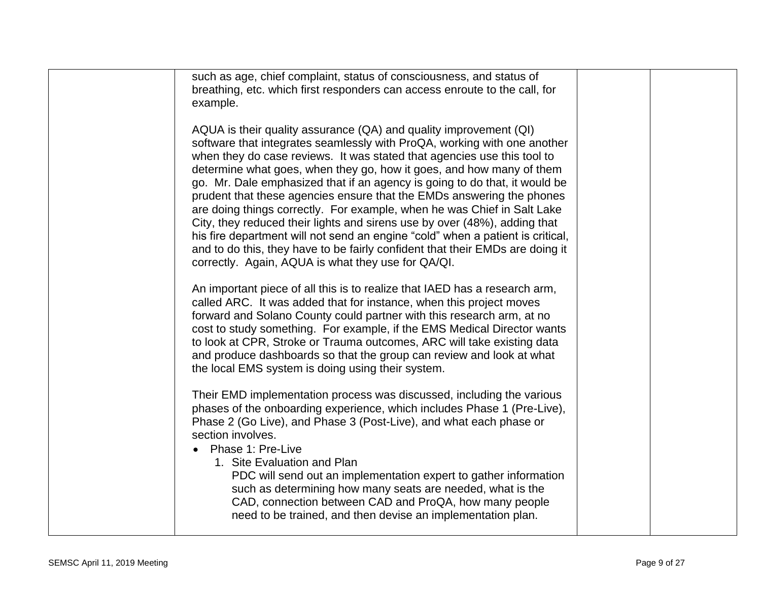| such as age, chief complaint, status of consciousness, and status of                                                                                                                                                                                                                                                                                                                                                                                                                                                                                                                                                                                                                                                                                                               |  |
|------------------------------------------------------------------------------------------------------------------------------------------------------------------------------------------------------------------------------------------------------------------------------------------------------------------------------------------------------------------------------------------------------------------------------------------------------------------------------------------------------------------------------------------------------------------------------------------------------------------------------------------------------------------------------------------------------------------------------------------------------------------------------------|--|
| breathing, etc. which first responders can access enroute to the call, for                                                                                                                                                                                                                                                                                                                                                                                                                                                                                                                                                                                                                                                                                                         |  |
| example.                                                                                                                                                                                                                                                                                                                                                                                                                                                                                                                                                                                                                                                                                                                                                                           |  |
|                                                                                                                                                                                                                                                                                                                                                                                                                                                                                                                                                                                                                                                                                                                                                                                    |  |
| AQUA is their quality assurance (QA) and quality improvement (QI)<br>software that integrates seamlessly with ProQA, working with one another<br>when they do case reviews. It was stated that agencies use this tool to<br>determine what goes, when they go, how it goes, and how many of them<br>go. Mr. Dale emphasized that if an agency is going to do that, it would be<br>prudent that these agencies ensure that the EMDs answering the phones<br>are doing things correctly. For example, when he was Chief in Salt Lake<br>City, they reduced their lights and sirens use by over (48%), adding that<br>his fire department will not send an engine "cold" when a patient is critical,<br>and to do this, they have to be fairly confident that their EMDs are doing it |  |
| correctly. Again, AQUA is what they use for QA/QI.                                                                                                                                                                                                                                                                                                                                                                                                                                                                                                                                                                                                                                                                                                                                 |  |
|                                                                                                                                                                                                                                                                                                                                                                                                                                                                                                                                                                                                                                                                                                                                                                                    |  |
| An important piece of all this is to realize that IAED has a research arm,<br>called ARC. It was added that for instance, when this project moves<br>forward and Solano County could partner with this research arm, at no<br>cost to study something. For example, if the EMS Medical Director wants<br>to look at CPR, Stroke or Trauma outcomes, ARC will take existing data<br>and produce dashboards so that the group can review and look at what<br>the local EMS system is doing using their system.                                                                                                                                                                                                                                                                       |  |
| Their EMD implementation process was discussed, including the various<br>phases of the onboarding experience, which includes Phase 1 (Pre-Live),<br>Phase 2 (Go Live), and Phase 3 (Post-Live), and what each phase or<br>section involves.<br>Phase 1: Pre-Live                                                                                                                                                                                                                                                                                                                                                                                                                                                                                                                   |  |
| 1. Site Evaluation and Plan<br>PDC will send out an implementation expert to gather information<br>such as determining how many seats are needed, what is the<br>CAD, connection between CAD and ProQA, how many people<br>need to be trained, and then devise an implementation plan.                                                                                                                                                                                                                                                                                                                                                                                                                                                                                             |  |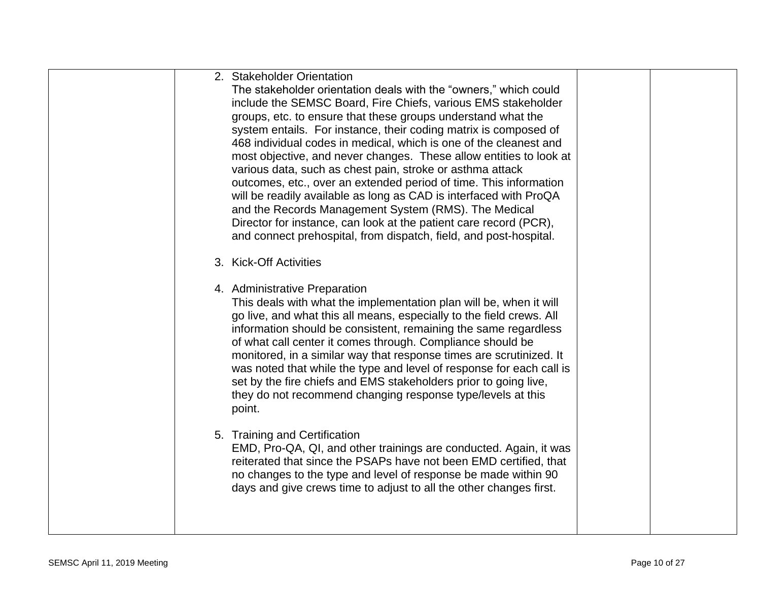| 2. Stakeholder Orientation<br>The stakeholder orientation deals with the "owners," which could<br>include the SEMSC Board, Fire Chiefs, various EMS stakeholder<br>groups, etc. to ensure that these groups understand what the<br>system entails. For instance, their coding matrix is composed of<br>468 individual codes in medical, which is one of the cleanest and<br>most objective, and never changes. These allow entities to look at<br>various data, such as chest pain, stroke or asthma attack<br>outcomes, etc., over an extended period of time. This information<br>will be readily available as long as CAD is interfaced with ProQA<br>and the Records Management System (RMS). The Medical<br>Director for instance, can look at the patient care record (PCR),<br>and connect prehospital, from dispatch, field, and post-hospital.<br>3. Kick-Off Activities |  |
|-----------------------------------------------------------------------------------------------------------------------------------------------------------------------------------------------------------------------------------------------------------------------------------------------------------------------------------------------------------------------------------------------------------------------------------------------------------------------------------------------------------------------------------------------------------------------------------------------------------------------------------------------------------------------------------------------------------------------------------------------------------------------------------------------------------------------------------------------------------------------------------|--|
| 4. Administrative Preparation<br>This deals with what the implementation plan will be, when it will<br>go live, and what this all means, especially to the field crews. All<br>information should be consistent, remaining the same regardless<br>of what call center it comes through. Compliance should be<br>monitored, in a similar way that response times are scrutinized. It<br>was noted that while the type and level of response for each call is<br>set by the fire chiefs and EMS stakeholders prior to going live,<br>they do not recommend changing response type/levels at this<br>point.                                                                                                                                                                                                                                                                          |  |
| 5. Training and Certification<br>EMD, Pro-QA, QI, and other trainings are conducted. Again, it was<br>reiterated that since the PSAPs have not been EMD certified, that<br>no changes to the type and level of response be made within 90<br>days and give crews time to adjust to all the other changes first.                                                                                                                                                                                                                                                                                                                                                                                                                                                                                                                                                                   |  |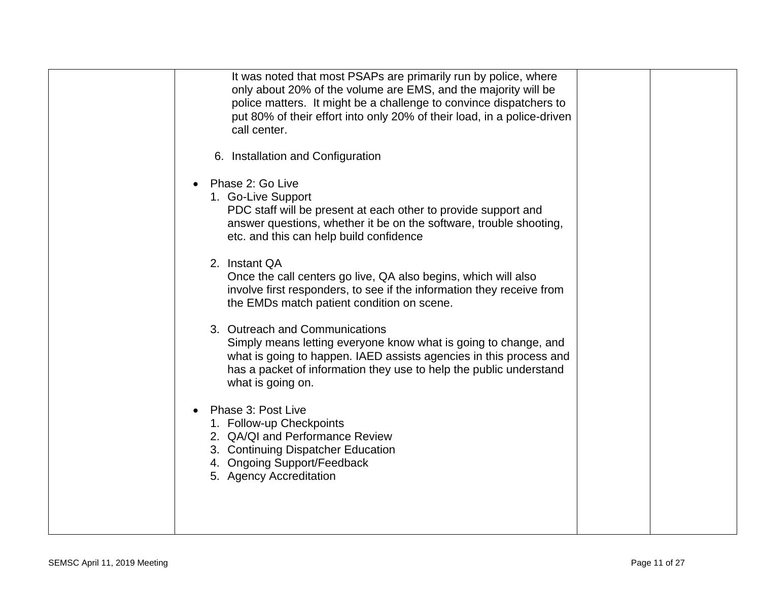| It was noted that most PSAPs are primarily run by police, where<br>only about 20% of the volume are EMS, and the majority will be<br>police matters. It might be a challenge to convince dispatchers to<br>put 80% of their effort into only 20% of their load, in a police-driven<br>call center. |
|----------------------------------------------------------------------------------------------------------------------------------------------------------------------------------------------------------------------------------------------------------------------------------------------------|
| 6. Installation and Configuration                                                                                                                                                                                                                                                                  |
| Phase 2: Go Live<br>1. Go-Live Support<br>PDC staff will be present at each other to provide support and<br>answer questions, whether it be on the software, trouble shooting,<br>etc. and this can help build confidence                                                                          |
| 2. Instant QA<br>Once the call centers go live, QA also begins, which will also<br>involve first responders, to see if the information they receive from<br>the EMDs match patient condition on scene.                                                                                             |
| 3. Outreach and Communications<br>Simply means letting everyone know what is going to change, and<br>what is going to happen. IAED assists agencies in this process and<br>has a packet of information they use to help the public understand<br>what is going on.                                 |
| Phase 3: Post Live<br>1. Follow-up Checkpoints<br>2. QA/QI and Performance Review<br>3. Continuing Dispatcher Education<br>4. Ongoing Support/Feedback<br>5. Agency Accreditation                                                                                                                  |
|                                                                                                                                                                                                                                                                                                    |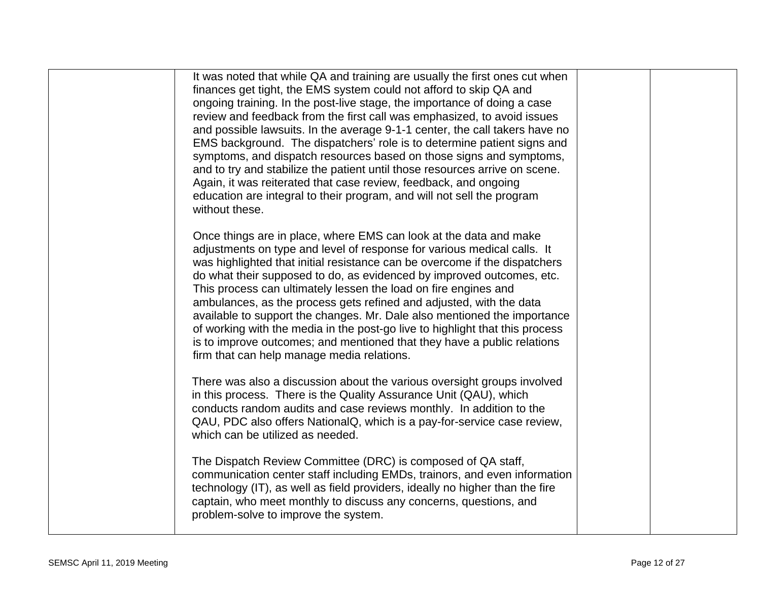| It was noted that while QA and training are usually the first ones cut when<br>finances get tight, the EMS system could not afford to skip QA and<br>ongoing training. In the post-live stage, the importance of doing a case<br>review and feedback from the first call was emphasized, to avoid issues<br>and possible lawsuits. In the average 9-1-1 center, the call takers have no<br>EMS background. The dispatchers' role is to determine patient signs and<br>symptoms, and dispatch resources based on those signs and symptoms,<br>and to try and stabilize the patient until those resources arrive on scene.<br>Again, it was reiterated that case review, feedback, and ongoing<br>education are integral to their program, and will not sell the program<br>without these. |  |
|------------------------------------------------------------------------------------------------------------------------------------------------------------------------------------------------------------------------------------------------------------------------------------------------------------------------------------------------------------------------------------------------------------------------------------------------------------------------------------------------------------------------------------------------------------------------------------------------------------------------------------------------------------------------------------------------------------------------------------------------------------------------------------------|--|
| Once things are in place, where EMS can look at the data and make<br>adjustments on type and level of response for various medical calls. It<br>was highlighted that initial resistance can be overcome if the dispatchers<br>do what their supposed to do, as evidenced by improved outcomes, etc.<br>This process can ultimately lessen the load on fire engines and<br>ambulances, as the process gets refined and adjusted, with the data<br>available to support the changes. Mr. Dale also mentioned the importance<br>of working with the media in the post-go live to highlight that this process<br>is to improve outcomes; and mentioned that they have a public relations<br>firm that can help manage media relations.                                                       |  |
| There was also a discussion about the various oversight groups involved<br>in this process. There is the Quality Assurance Unit (QAU), which<br>conducts random audits and case reviews monthly. In addition to the<br>QAU, PDC also offers NationalQ, which is a pay-for-service case review,<br>which can be utilized as needed.                                                                                                                                                                                                                                                                                                                                                                                                                                                       |  |
| The Dispatch Review Committee (DRC) is composed of QA staff,<br>communication center staff including EMDs, trainors, and even information<br>technology (IT), as well as field providers, ideally no higher than the fire<br>captain, who meet monthly to discuss any concerns, questions, and<br>problem-solve to improve the system.                                                                                                                                                                                                                                                                                                                                                                                                                                                   |  |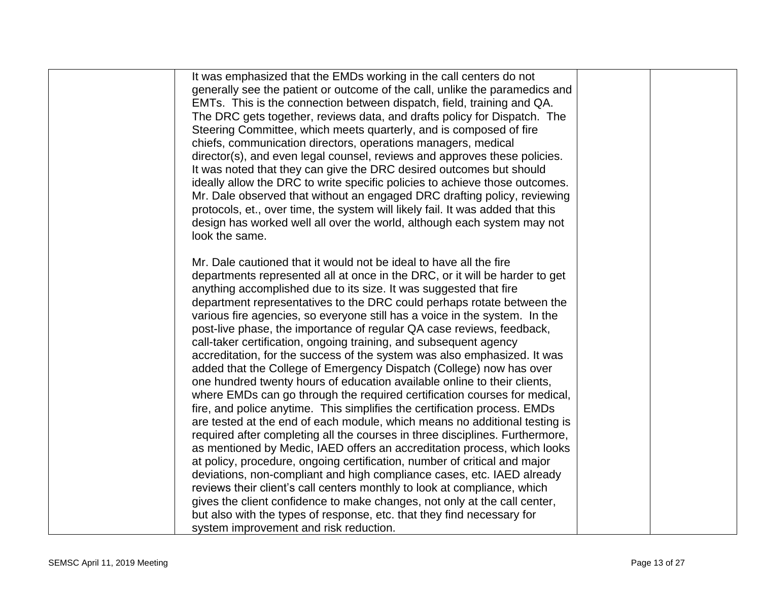| It was emphasized that the EMDs working in the call centers do not<br>generally see the patient or outcome of the call, unlike the paramedics and<br>EMTs. This is the connection between dispatch, field, training and QA.<br>The DRC gets together, reviews data, and drafts policy for Dispatch. The |  |
|---------------------------------------------------------------------------------------------------------------------------------------------------------------------------------------------------------------------------------------------------------------------------------------------------------|--|
| Steering Committee, which meets quarterly, and is composed of fire<br>chiefs, communication directors, operations managers, medical                                                                                                                                                                     |  |
| director(s), and even legal counsel, reviews and approves these policies.<br>It was noted that they can give the DRC desired outcomes but should<br>ideally allow the DRC to write specific policies to achieve those outcomes.                                                                         |  |
| Mr. Dale observed that without an engaged DRC drafting policy, reviewing<br>protocols, et., over time, the system will likely fail. It was added that this<br>design has worked well all over the world, although each system may not<br>look the same.                                                 |  |
|                                                                                                                                                                                                                                                                                                         |  |
| Mr. Dale cautioned that it would not be ideal to have all the fire<br>departments represented all at once in the DRC, or it will be harder to get<br>anything accomplished due to its size. It was suggested that fire                                                                                  |  |
| department representatives to the DRC could perhaps rotate between the<br>various fire agencies, so everyone still has a voice in the system. In the<br>post-live phase, the importance of regular QA case reviews, feedback,                                                                           |  |
| call-taker certification, ongoing training, and subsequent agency<br>accreditation, for the success of the system was also emphasized. It was                                                                                                                                                           |  |
| added that the College of Emergency Dispatch (College) now has over<br>one hundred twenty hours of education available online to their clients,<br>where EMDs can go through the required certification courses for medical,                                                                            |  |
| fire, and police anytime. This simplifies the certification process. EMDs<br>are tested at the end of each module, which means no additional testing is<br>required after completing all the courses in three disciplines. Furthermore,                                                                 |  |
| as mentioned by Medic, IAED offers an accreditation process, which looks<br>at policy, procedure, ongoing certification, number of critical and major                                                                                                                                                   |  |
| deviations, non-compliant and high compliance cases, etc. IAED already<br>reviews their client's call centers monthly to look at compliance, which<br>gives the client confidence to make changes, not only at the call center,                                                                         |  |
| but also with the types of response, etc. that they find necessary for<br>system improvement and risk reduction.                                                                                                                                                                                        |  |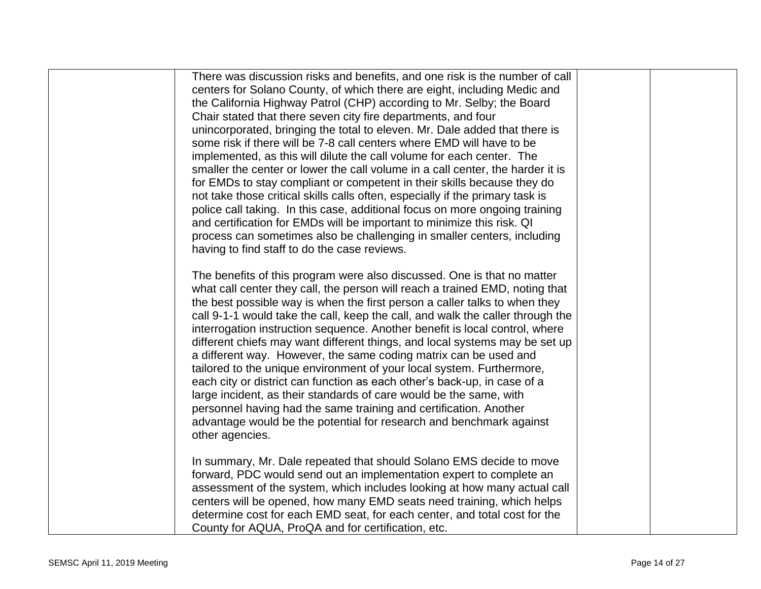| There was discussion risks and benefits, and one risk is the number of call<br>centers for Solano County, of which there are eight, including Medic and<br>the California Highway Patrol (CHP) according to Mr. Selby; the Board<br>Chair stated that there seven city fire departments, and four<br>unincorporated, bringing the total to eleven. Mr. Dale added that there is<br>some risk if there will be 7-8 call centers where EMD will have to be<br>implemented, as this will dilute the call volume for each center. The<br>smaller the center or lower the call volume in a call center, the harder it is<br>for EMDs to stay compliant or competent in their skills because they do<br>not take those critical skills calls often, especially if the primary task is<br>police call taking. In this case, additional focus on more ongoing training<br>and certification for EMDs will be important to minimize this risk. QI                                                                                                                                       |  |
|--------------------------------------------------------------------------------------------------------------------------------------------------------------------------------------------------------------------------------------------------------------------------------------------------------------------------------------------------------------------------------------------------------------------------------------------------------------------------------------------------------------------------------------------------------------------------------------------------------------------------------------------------------------------------------------------------------------------------------------------------------------------------------------------------------------------------------------------------------------------------------------------------------------------------------------------------------------------------------------------------------------------------------------------------------------------------------|--|
| process can sometimes also be challenging in smaller centers, including<br>having to find staff to do the case reviews.<br>The benefits of this program were also discussed. One is that no matter<br>what call center they call, the person will reach a trained EMD, noting that<br>the best possible way is when the first person a caller talks to when they<br>call 9-1-1 would take the call, keep the call, and walk the caller through the<br>interrogation instruction sequence. Another benefit is local control, where<br>different chiefs may want different things, and local systems may be set up<br>a different way. However, the same coding matrix can be used and<br>tailored to the unique environment of your local system. Furthermore,<br>each city or district can function as each other's back-up, in case of a<br>large incident, as their standards of care would be the same, with<br>personnel having had the same training and certification. Another<br>advantage would be the potential for research and benchmark against<br>other agencies. |  |
| In summary, Mr. Dale repeated that should Solano EMS decide to move<br>forward, PDC would send out an implementation expert to complete an<br>assessment of the system, which includes looking at how many actual call<br>centers will be opened, how many EMD seats need training, which helps<br>determine cost for each EMD seat, for each center, and total cost for the<br>County for AQUA, ProQA and for certification, etc.                                                                                                                                                                                                                                                                                                                                                                                                                                                                                                                                                                                                                                             |  |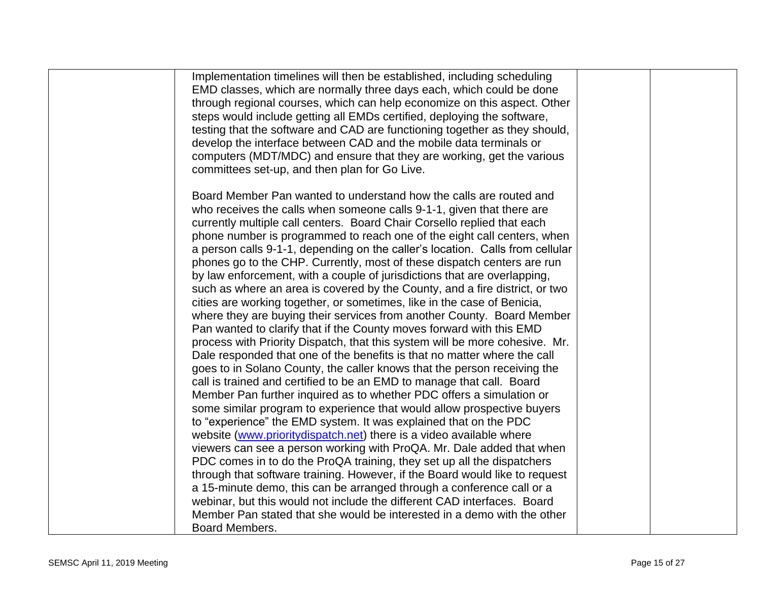| Implementation timelines will then be established, including scheduling                                                                             |  |
|-----------------------------------------------------------------------------------------------------------------------------------------------------|--|
| EMD classes, which are normally three days each, which could be done                                                                                |  |
| through regional courses, which can help economize on this aspect. Other<br>steps would include getting all EMDs certified, deploying the software, |  |
|                                                                                                                                                     |  |
| testing that the software and CAD are functioning together as they should,                                                                          |  |
| develop the interface between CAD and the mobile data terminals or                                                                                  |  |
| computers (MDT/MDC) and ensure that they are working, get the various<br>committees set-up, and then plan for Go Live.                              |  |
|                                                                                                                                                     |  |
| Board Member Pan wanted to understand how the calls are routed and                                                                                  |  |
| who receives the calls when someone calls 9-1-1, given that there are                                                                               |  |
| currently multiple call centers. Board Chair Corsello replied that each                                                                             |  |
| phone number is programmed to reach one of the eight call centers, when                                                                             |  |
| a person calls 9-1-1, depending on the caller's location. Calls from cellular                                                                       |  |
| phones go to the CHP. Currently, most of these dispatch centers are run                                                                             |  |
| by law enforcement, with a couple of jurisdictions that are overlapping,                                                                            |  |
| such as where an area is covered by the County, and a fire district, or two                                                                         |  |
| cities are working together, or sometimes, like in the case of Benicia,                                                                             |  |
| where they are buying their services from another County. Board Member                                                                              |  |
| Pan wanted to clarify that if the County moves forward with this EMD                                                                                |  |
| process with Priority Dispatch, that this system will be more cohesive. Mr.                                                                         |  |
| Dale responded that one of the benefits is that no matter where the call                                                                            |  |
| goes to in Solano County, the caller knows that the person receiving the                                                                            |  |
| call is trained and certified to be an EMD to manage that call. Board                                                                               |  |
| Member Pan further inquired as to whether PDC offers a simulation or                                                                                |  |
| some similar program to experience that would allow prospective buyers                                                                              |  |
| to "experience" the EMD system. It was explained that on the PDC                                                                                    |  |
| website (www.prioritydispatch.net) there is a video available where                                                                                 |  |
| viewers can see a person working with ProQA. Mr. Dale added that when                                                                               |  |
| PDC comes in to do the ProQA training, they set up all the dispatchers                                                                              |  |
| through that software training. However, if the Board would like to request                                                                         |  |
| a 15-minute demo, this can be arranged through a conference call or a                                                                               |  |
| webinar, but this would not include the different CAD interfaces. Board                                                                             |  |
| Member Pan stated that she would be interested in a demo with the other                                                                             |  |
| Board Members.                                                                                                                                      |  |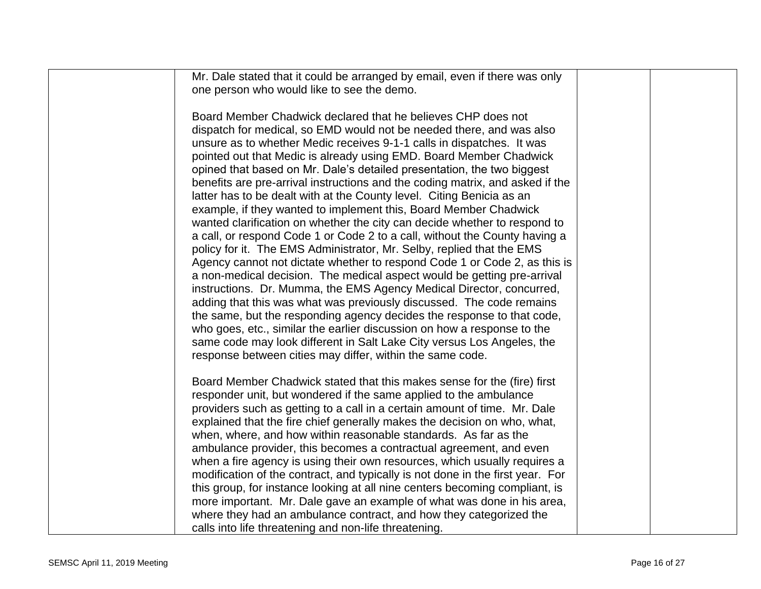| Mr. Dale stated that it could be arranged by email, even if there was only     |  |
|--------------------------------------------------------------------------------|--|
| one person who would like to see the demo.                                     |  |
|                                                                                |  |
| Board Member Chadwick declared that he believes CHP does not                   |  |
| dispatch for medical, so EMD would not be needed there, and was also           |  |
|                                                                                |  |
| unsure as to whether Medic receives 9-1-1 calls in dispatches. It was          |  |
| pointed out that Medic is already using EMD. Board Member Chadwick             |  |
| opined that based on Mr. Dale's detailed presentation, the two biggest         |  |
| benefits are pre-arrival instructions and the coding matrix, and asked if the  |  |
| latter has to be dealt with at the County level. Citing Benicia as an          |  |
| example, if they wanted to implement this, Board Member Chadwick               |  |
| wanted clarification on whether the city can decide whether to respond to      |  |
| a call, or respond Code 1 or Code 2 to a call, without the County having a     |  |
| policy for it. The EMS Administrator, Mr. Selby, replied that the EMS          |  |
| Agency cannot not dictate whether to respond Code 1 or Code 2, as this is      |  |
| a non-medical decision. The medical aspect would be getting pre-arrival        |  |
|                                                                                |  |
| instructions. Dr. Mumma, the EMS Agency Medical Director, concurred,           |  |
| adding that this was what was previously discussed. The code remains           |  |
| the same, but the responding agency decides the response to that code,         |  |
| who goes, etc., similar the earlier discussion on how a response to the        |  |
| same code may look different in Salt Lake City versus Los Angeles, the         |  |
| response between cities may differ, within the same code.                      |  |
|                                                                                |  |
| Board Member Chadwick stated that this makes sense for the (fire) first        |  |
| responder unit, but wondered if the same applied to the ambulance              |  |
| providers such as getting to a call in a certain amount of time. Mr. Dale      |  |
| explained that the fire chief generally makes the decision on who, what,       |  |
| when, where, and how within reasonable standards. As far as the                |  |
|                                                                                |  |
| ambulance provider, this becomes a contractual agreement, and even             |  |
| when a fire agency is using their own resources, which usually requires a      |  |
| modification of the contract, and typically is not done in the first year. For |  |
| this group, for instance looking at all nine centers becoming compliant, is    |  |
| more important. Mr. Dale gave an example of what was done in his area,         |  |
| where they had an ambulance contract, and how they categorized the             |  |
| calls into life threatening and non-life threatening.                          |  |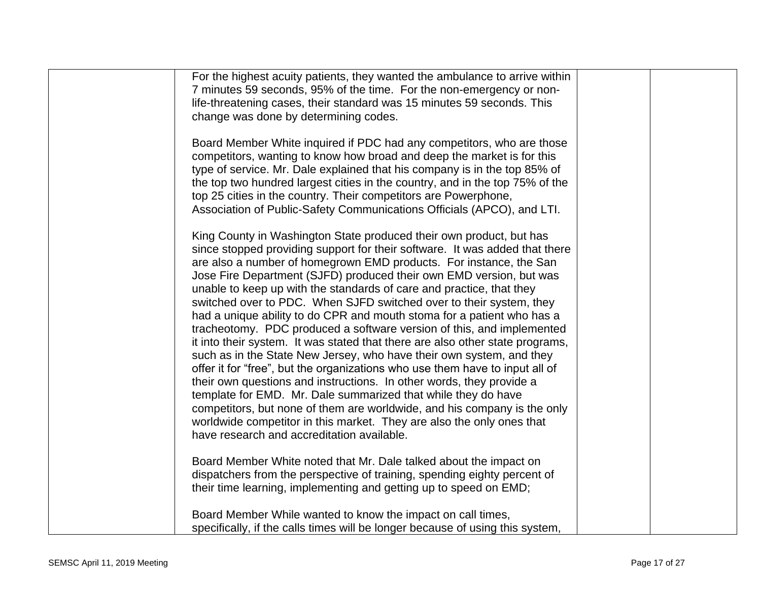| For the highest acuity patients, they wanted the ambulance to arrive within                                                                                                                                                                                                                                                                                                                                                                                                                                                                                                                                                                                                                                                                                                                                                                                                                                                                                                                                                                                                                                                                                                            |  |
|----------------------------------------------------------------------------------------------------------------------------------------------------------------------------------------------------------------------------------------------------------------------------------------------------------------------------------------------------------------------------------------------------------------------------------------------------------------------------------------------------------------------------------------------------------------------------------------------------------------------------------------------------------------------------------------------------------------------------------------------------------------------------------------------------------------------------------------------------------------------------------------------------------------------------------------------------------------------------------------------------------------------------------------------------------------------------------------------------------------------------------------------------------------------------------------|--|
| 7 minutes 59 seconds, 95% of the time. For the non-emergency or non-                                                                                                                                                                                                                                                                                                                                                                                                                                                                                                                                                                                                                                                                                                                                                                                                                                                                                                                                                                                                                                                                                                                   |  |
| life-threatening cases, their standard was 15 minutes 59 seconds. This                                                                                                                                                                                                                                                                                                                                                                                                                                                                                                                                                                                                                                                                                                                                                                                                                                                                                                                                                                                                                                                                                                                 |  |
| change was done by determining codes.                                                                                                                                                                                                                                                                                                                                                                                                                                                                                                                                                                                                                                                                                                                                                                                                                                                                                                                                                                                                                                                                                                                                                  |  |
| Board Member White inquired if PDC had any competitors, who are those<br>competitors, wanting to know how broad and deep the market is for this<br>type of service. Mr. Dale explained that his company is in the top 85% of<br>the top two hundred largest cities in the country, and in the top 75% of the<br>top 25 cities in the country. Their competitors are Powerphone,<br>Association of Public-Safety Communications Officials (APCO), and LTI.                                                                                                                                                                                                                                                                                                                                                                                                                                                                                                                                                                                                                                                                                                                              |  |
| King County in Washington State produced their own product, but has<br>since stopped providing support for their software. It was added that there<br>are also a number of homegrown EMD products. For instance, the San<br>Jose Fire Department (SJFD) produced their own EMD version, but was<br>unable to keep up with the standards of care and practice, that they<br>switched over to PDC. When SJFD switched over to their system, they<br>had a unique ability to do CPR and mouth stoma for a patient who has a<br>tracheotomy. PDC produced a software version of this, and implemented<br>it into their system. It was stated that there are also other state programs,<br>such as in the State New Jersey, who have their own system, and they<br>offer it for "free", but the organizations who use them have to input all of<br>their own questions and instructions. In other words, they provide a<br>template for EMD. Mr. Dale summarized that while they do have<br>competitors, but none of them are worldwide, and his company is the only<br>worldwide competitor in this market. They are also the only ones that<br>have research and accreditation available. |  |
| Board Member White noted that Mr. Dale talked about the impact on<br>dispatchers from the perspective of training, spending eighty percent of                                                                                                                                                                                                                                                                                                                                                                                                                                                                                                                                                                                                                                                                                                                                                                                                                                                                                                                                                                                                                                          |  |
| their time learning, implementing and getting up to speed on EMD;                                                                                                                                                                                                                                                                                                                                                                                                                                                                                                                                                                                                                                                                                                                                                                                                                                                                                                                                                                                                                                                                                                                      |  |
|                                                                                                                                                                                                                                                                                                                                                                                                                                                                                                                                                                                                                                                                                                                                                                                                                                                                                                                                                                                                                                                                                                                                                                                        |  |
|                                                                                                                                                                                                                                                                                                                                                                                                                                                                                                                                                                                                                                                                                                                                                                                                                                                                                                                                                                                                                                                                                                                                                                                        |  |
| Board Member While wanted to know the impact on call times,<br>specifically, if the calls times will be longer because of using this system,                                                                                                                                                                                                                                                                                                                                                                                                                                                                                                                                                                                                                                                                                                                                                                                                                                                                                                                                                                                                                                           |  |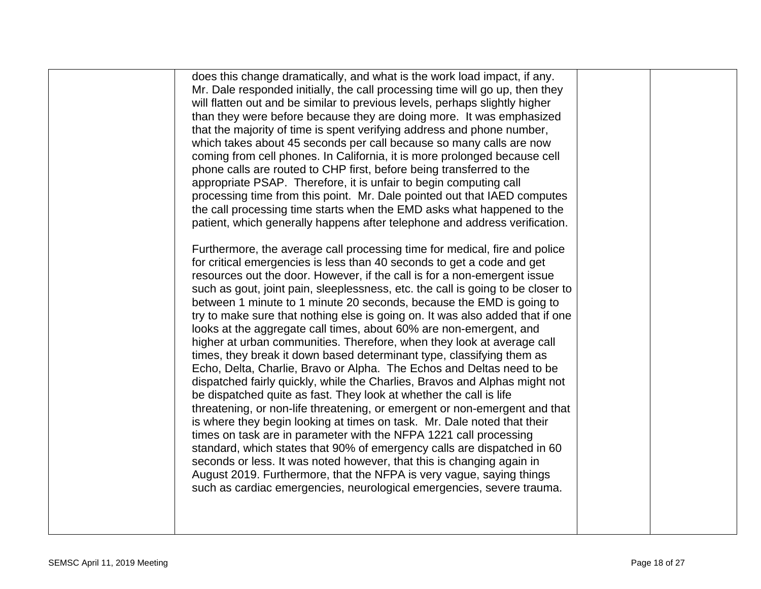| does this change dramatically, and what is the work load impact, if any.<br>Mr. Dale responded initially, the call processing time will go up, then they<br>will flatten out and be similar to previous levels, perhaps slightly higher<br>than they were before because they are doing more. It was emphasized<br>that the majority of time is spent verifying address and phone number,<br>which takes about 45 seconds per call because so many calls are now<br>coming from cell phones. In California, it is more prolonged because cell<br>phone calls are routed to CHP first, before being transferred to the<br>appropriate PSAP. Therefore, it is unfair to begin computing call<br>processing time from this point. Mr. Dale pointed out that IAED computes<br>the call processing time starts when the EMD asks what happened to the<br>patient, which generally happens after telephone and address verification.<br>Furthermore, the average call processing time for medical, fire and police<br>for critical emergencies is less than 40 seconds to get a code and get<br>resources out the door. However, if the call is for a non-emergent issue<br>such as gout, joint pain, sleeplessness, etc. the call is going to be closer to<br>between 1 minute to 1 minute 20 seconds, because the EMD is going to<br>try to make sure that nothing else is going on. It was also added that if one<br>looks at the aggregate call times, about 60% are non-emergent, and<br>higher at urban communities. Therefore, when they look at average call<br>times, they break it down based determinant type, classifying them as<br>Echo, Delta, Charlie, Bravo or Alpha. The Echos and Deltas need to be<br>dispatched fairly quickly, while the Charlies, Bravos and Alphas might not<br>be dispatched quite as fast. They look at whether the call is life<br>threatening, or non-life threatening, or emergent or non-emergent and that<br>is where they begin looking at times on task. Mr. Dale noted that their |  |
|-------------------------------------------------------------------------------------------------------------------------------------------------------------------------------------------------------------------------------------------------------------------------------------------------------------------------------------------------------------------------------------------------------------------------------------------------------------------------------------------------------------------------------------------------------------------------------------------------------------------------------------------------------------------------------------------------------------------------------------------------------------------------------------------------------------------------------------------------------------------------------------------------------------------------------------------------------------------------------------------------------------------------------------------------------------------------------------------------------------------------------------------------------------------------------------------------------------------------------------------------------------------------------------------------------------------------------------------------------------------------------------------------------------------------------------------------------------------------------------------------------------------------------------------------------------------------------------------------------------------------------------------------------------------------------------------------------------------------------------------------------------------------------------------------------------------------------------------------------------------------------------------------------------------------------------------------------------------------------------------------------------------------------|--|
| times on task are in parameter with the NFPA 1221 call processing<br>standard, which states that 90% of emergency calls are dispatched in 60                                                                                                                                                                                                                                                                                                                                                                                                                                                                                                                                                                                                                                                                                                                                                                                                                                                                                                                                                                                                                                                                                                                                                                                                                                                                                                                                                                                                                                                                                                                                                                                                                                                                                                                                                                                                                                                                                  |  |
| seconds or less. It was noted however, that this is changing again in<br>August 2019. Furthermore, that the NFPA is very vague, saying things<br>such as cardiac emergencies, neurological emergencies, severe trauma.                                                                                                                                                                                                                                                                                                                                                                                                                                                                                                                                                                                                                                                                                                                                                                                                                                                                                                                                                                                                                                                                                                                                                                                                                                                                                                                                                                                                                                                                                                                                                                                                                                                                                                                                                                                                        |  |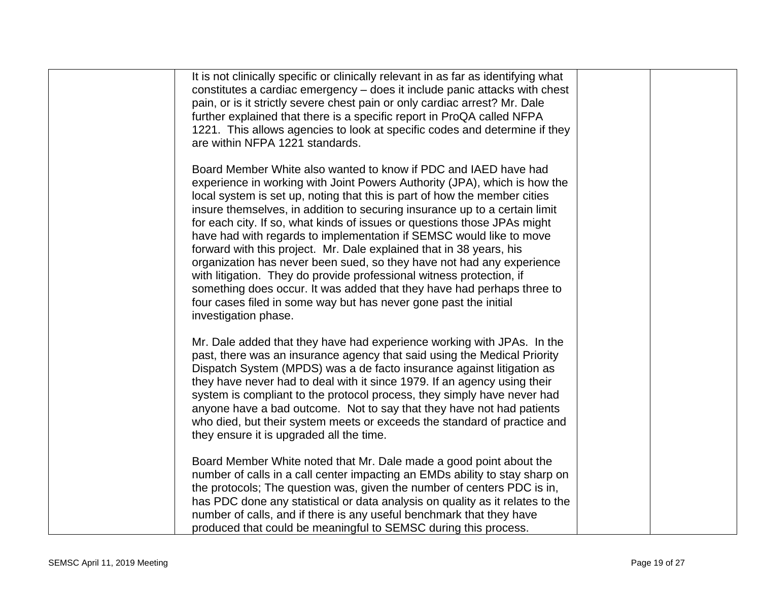| It is not clinically specific or clinically relevant in as far as identifying what<br>constitutes a cardiac emergency – does it include panic attacks with chest<br>pain, or is it strictly severe chest pain or only cardiac arrest? Mr. Dale<br>further explained that there is a specific report in ProQA called NFPA<br>1221. This allows agencies to look at specific codes and determine if they<br>are within NFPA 1221 standards.                                                                                                                                                                                                                                                                                                                                                                                                                |  |
|----------------------------------------------------------------------------------------------------------------------------------------------------------------------------------------------------------------------------------------------------------------------------------------------------------------------------------------------------------------------------------------------------------------------------------------------------------------------------------------------------------------------------------------------------------------------------------------------------------------------------------------------------------------------------------------------------------------------------------------------------------------------------------------------------------------------------------------------------------|--|
| Board Member White also wanted to know if PDC and IAED have had<br>experience in working with Joint Powers Authority (JPA), which is how the<br>local system is set up, noting that this is part of how the member cities<br>insure themselves, in addition to securing insurance up to a certain limit<br>for each city. If so, what kinds of issues or questions those JPAs might<br>have had with regards to implementation if SEMSC would like to move<br>forward with this project. Mr. Dale explained that in 38 years, his<br>organization has never been sued, so they have not had any experience<br>with litigation. They do provide professional witness protection, if<br>something does occur. It was added that they have had perhaps three to<br>four cases filed in some way but has never gone past the initial<br>investigation phase. |  |
| Mr. Dale added that they have had experience working with JPAs. In the<br>past, there was an insurance agency that said using the Medical Priority<br>Dispatch System (MPDS) was a de facto insurance against litigation as<br>they have never had to deal with it since 1979. If an agency using their<br>system is compliant to the protocol process, they simply have never had<br>anyone have a bad outcome. Not to say that they have not had patients<br>who died, but their system meets or exceeds the standard of practice and<br>they ensure it is upgraded all the time.                                                                                                                                                                                                                                                                      |  |
| Board Member White noted that Mr. Dale made a good point about the<br>number of calls in a call center impacting an EMDs ability to stay sharp on<br>the protocols; The question was, given the number of centers PDC is in,<br>has PDC done any statistical or data analysis on quality as it relates to the<br>number of calls, and if there is any useful benchmark that they have<br>produced that could be meaningful to SEMSC during this process.                                                                                                                                                                                                                                                                                                                                                                                                 |  |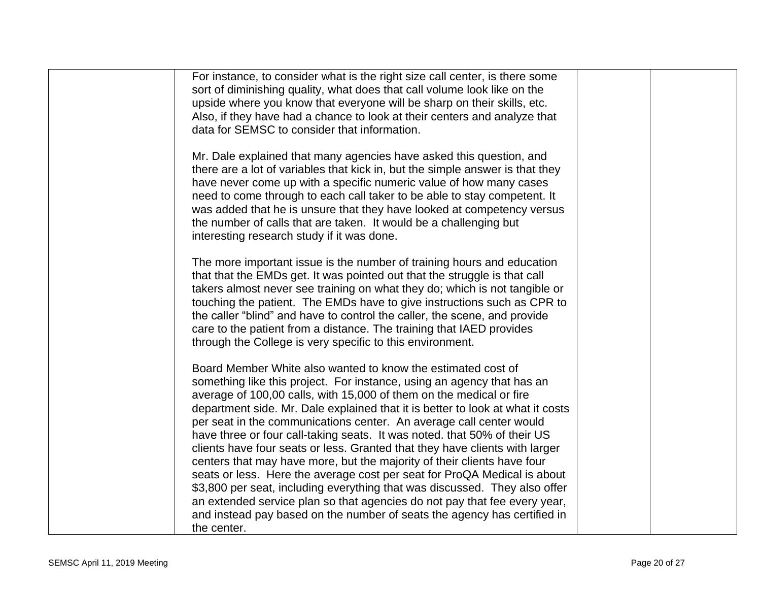| For instance, to consider what is the right size call center, is there some<br>sort of diminishing quality, what does that call volume look like on the<br>upside where you know that everyone will be sharp on their skills, etc.<br>Also, if they have had a chance to look at their centers and analyze that<br>data for SEMSC to consider that information.                                                                                                                                                                                                                                                                                                                                                                                                                                                                                                                                                                                |  |
|------------------------------------------------------------------------------------------------------------------------------------------------------------------------------------------------------------------------------------------------------------------------------------------------------------------------------------------------------------------------------------------------------------------------------------------------------------------------------------------------------------------------------------------------------------------------------------------------------------------------------------------------------------------------------------------------------------------------------------------------------------------------------------------------------------------------------------------------------------------------------------------------------------------------------------------------|--|
| Mr. Dale explained that many agencies have asked this question, and<br>there are a lot of variables that kick in, but the simple answer is that they<br>have never come up with a specific numeric value of how many cases<br>need to come through to each call taker to be able to stay competent. It<br>was added that he is unsure that they have looked at competency versus<br>the number of calls that are taken. It would be a challenging but<br>interesting research study if it was done.                                                                                                                                                                                                                                                                                                                                                                                                                                            |  |
| The more important issue is the number of training hours and education<br>that that the EMDs get. It was pointed out that the struggle is that call<br>takers almost never see training on what they do; which is not tangible or<br>touching the patient. The EMDs have to give instructions such as CPR to<br>the caller "blind" and have to control the caller, the scene, and provide<br>care to the patient from a distance. The training that IAED provides<br>through the College is very specific to this environment.                                                                                                                                                                                                                                                                                                                                                                                                                 |  |
| Board Member White also wanted to know the estimated cost of<br>something like this project. For instance, using an agency that has an<br>average of 100,00 calls, with 15,000 of them on the medical or fire<br>department side. Mr. Dale explained that it is better to look at what it costs<br>per seat in the communications center. An average call center would<br>have three or four call-taking seats. It was noted. that 50% of their US<br>clients have four seats or less. Granted that they have clients with larger<br>centers that may have more, but the majority of their clients have four<br>seats or less. Here the average cost per seat for ProQA Medical is about<br>\$3,800 per seat, including everything that was discussed. They also offer<br>an extended service plan so that agencies do not pay that fee every year,<br>and instead pay based on the number of seats the agency has certified in<br>the center. |  |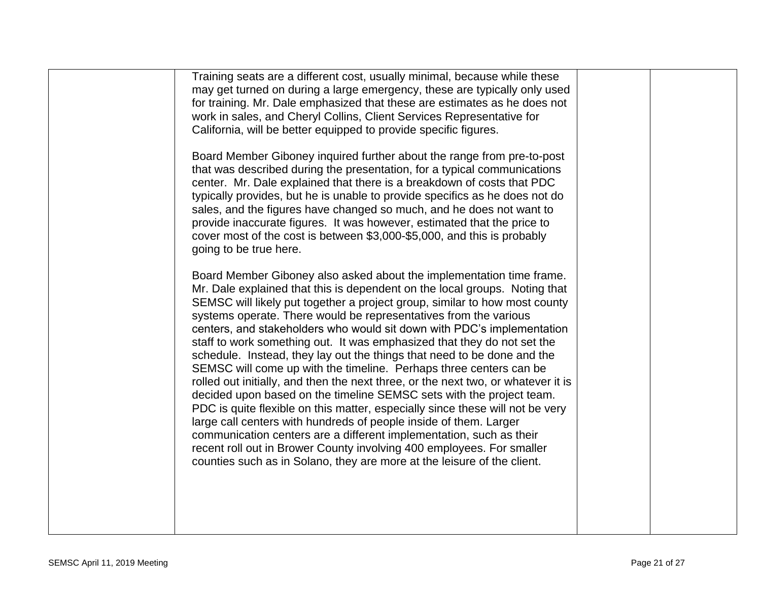| Training seats are a different cost, usually minimal, because while these<br>may get turned on during a large emergency, these are typically only used<br>for training. Mr. Dale emphasized that these are estimates as he does not<br>work in sales, and Cheryl Collins, Client Services Representative for<br>California, will be better equipped to provide specific figures.<br>Board Member Giboney inquired further about the range from pre-to-post<br>that was described during the presentation, for a typical communications<br>center. Mr. Dale explained that there is a breakdown of costs that PDC<br>typically provides, but he is unable to provide specifics as he does not do<br>sales, and the figures have changed so much, and he does not want to<br>provide inaccurate figures. It was however, estimated that the price to<br>cover most of the cost is between \$3,000-\$5,000, and this is probably                                                                                                                                                                                                                                                      |  |
|------------------------------------------------------------------------------------------------------------------------------------------------------------------------------------------------------------------------------------------------------------------------------------------------------------------------------------------------------------------------------------------------------------------------------------------------------------------------------------------------------------------------------------------------------------------------------------------------------------------------------------------------------------------------------------------------------------------------------------------------------------------------------------------------------------------------------------------------------------------------------------------------------------------------------------------------------------------------------------------------------------------------------------------------------------------------------------------------------------------------------------------------------------------------------------|--|
| going to be true here.<br>Board Member Giboney also asked about the implementation time frame.<br>Mr. Dale explained that this is dependent on the local groups. Noting that<br>SEMSC will likely put together a project group, similar to how most county<br>systems operate. There would be representatives from the various<br>centers, and stakeholders who would sit down with PDC's implementation<br>staff to work something out. It was emphasized that they do not set the<br>schedule. Instead, they lay out the things that need to be done and the<br>SEMSC will come up with the timeline. Perhaps three centers can be<br>rolled out initially, and then the next three, or the next two, or whatever it is<br>decided upon based on the timeline SEMSC sets with the project team.<br>PDC is quite flexible on this matter, especially since these will not be very<br>large call centers with hundreds of people inside of them. Larger<br>communication centers are a different implementation, such as their<br>recent roll out in Brower County involving 400 employees. For smaller<br>counties such as in Solano, they are more at the leisure of the client. |  |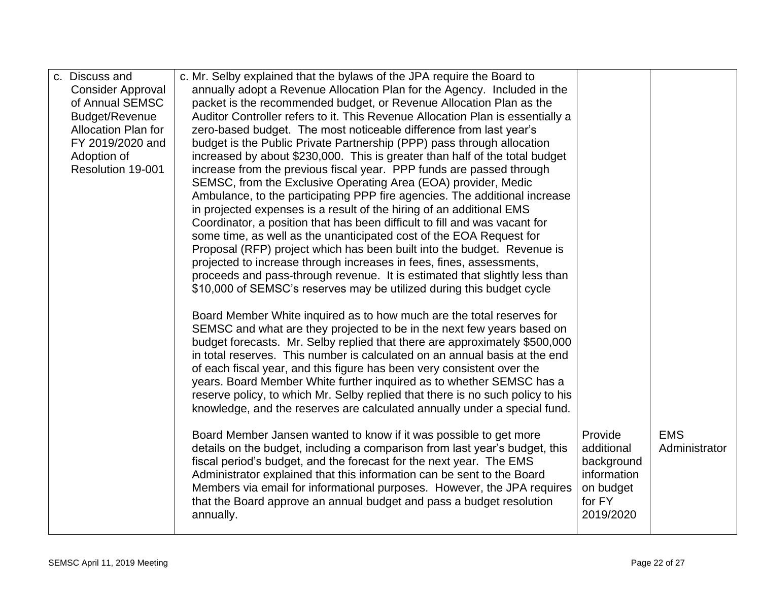| c. Discuss and             | c. Mr. Selby explained that the bylaws of the JPA require the Board to                                                                                      |             |               |
|----------------------------|-------------------------------------------------------------------------------------------------------------------------------------------------------------|-------------|---------------|
| <b>Consider Approval</b>   | annually adopt a Revenue Allocation Plan for the Agency. Included in the                                                                                    |             |               |
| of Annual SEMSC            | packet is the recommended budget, or Revenue Allocation Plan as the                                                                                         |             |               |
| Budget/Revenue             | Auditor Controller refers to it. This Revenue Allocation Plan is essentially a                                                                              |             |               |
| <b>Allocation Plan for</b> | zero-based budget. The most noticeable difference from last year's                                                                                          |             |               |
| FY 2019/2020 and           | budget is the Public Private Partnership (PPP) pass through allocation                                                                                      |             |               |
| Adoption of                | increased by about \$230,000. This is greater than half of the total budget                                                                                 |             |               |
| Resolution 19-001          | increase from the previous fiscal year. PPP funds are passed through                                                                                        |             |               |
|                            | SEMSC, from the Exclusive Operating Area (EOA) provider, Medic                                                                                              |             |               |
|                            | Ambulance, to the participating PPP fire agencies. The additional increase                                                                                  |             |               |
|                            | in projected expenses is a result of the hiring of an additional EMS                                                                                        |             |               |
|                            | Coordinator, a position that has been difficult to fill and was vacant for                                                                                  |             |               |
|                            | some time, as well as the unanticipated cost of the EOA Request for                                                                                         |             |               |
|                            | Proposal (RFP) project which has been built into the budget. Revenue is                                                                                     |             |               |
|                            | projected to increase through increases in fees, fines, assessments,                                                                                        |             |               |
|                            | proceeds and pass-through revenue. It is estimated that slightly less than                                                                                  |             |               |
|                            | \$10,000 of SEMSC's reserves may be utilized during this budget cycle                                                                                       |             |               |
|                            |                                                                                                                                                             |             |               |
|                            | Board Member White inquired as to how much are the total reserves for                                                                                       |             |               |
|                            | SEMSC and what are they projected to be in the next few years based on                                                                                      |             |               |
|                            | budget forecasts. Mr. Selby replied that there are approximately \$500,000<br>in total reserves. This number is calculated on an annual basis at the end    |             |               |
|                            |                                                                                                                                                             |             |               |
|                            | of each fiscal year, and this figure has been very consistent over the                                                                                      |             |               |
|                            | years. Board Member White further inquired as to whether SEMSC has a                                                                                        |             |               |
|                            | reserve policy, to which Mr. Selby replied that there is no such policy to his<br>knowledge, and the reserves are calculated annually under a special fund. |             |               |
|                            |                                                                                                                                                             |             |               |
|                            | Board Member Jansen wanted to know if it was possible to get more                                                                                           | Provide     | <b>EMS</b>    |
|                            | details on the budget, including a comparison from last year's budget, this                                                                                 | additional  | Administrator |
|                            | fiscal period's budget, and the forecast for the next year. The EMS                                                                                         | background  |               |
|                            | Administrator explained that this information can be sent to the Board                                                                                      | information |               |
|                            | Members via email for informational purposes. However, the JPA requires                                                                                     | on budget   |               |
|                            | that the Board approve an annual budget and pass a budget resolution                                                                                        | for FY      |               |
|                            | annually.                                                                                                                                                   | 2019/2020   |               |
|                            |                                                                                                                                                             |             |               |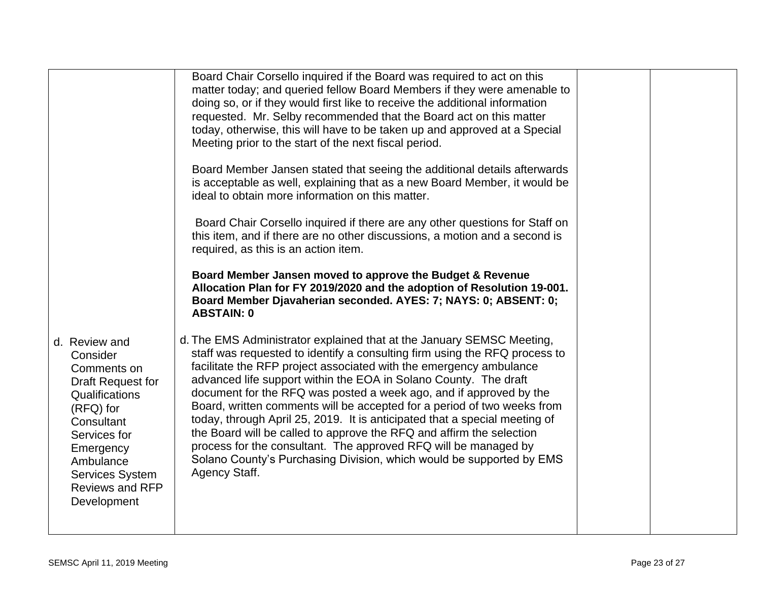|                                                                                                                                                                                                                           | Board Chair Corsello inquired if the Board was required to act on this<br>matter today; and queried fellow Board Members if they were amenable to<br>doing so, or if they would first like to receive the additional information<br>requested. Mr. Selby recommended that the Board act on this matter<br>today, otherwise, this will have to be taken up and approved at a Special<br>Meeting prior to the start of the next fiscal period.<br>Board Member Jansen stated that seeing the additional details afterwards<br>is acceptable as well, explaining that as a new Board Member, it would be<br>ideal to obtain more information on this matter.<br>Board Chair Corsello inquired if there are any other questions for Staff on<br>this item, and if there are no other discussions, a motion and a second is<br>required, as this is an action item.<br>Board Member Jansen moved to approve the Budget & Revenue<br>Allocation Plan for FY 2019/2020 and the adoption of Resolution 19-001.<br>Board Member Djavaherian seconded. AYES: 7; NAYS: 0; ABSENT: 0;<br><b>ABSTAIN: 0</b> |  |
|---------------------------------------------------------------------------------------------------------------------------------------------------------------------------------------------------------------------------|------------------------------------------------------------------------------------------------------------------------------------------------------------------------------------------------------------------------------------------------------------------------------------------------------------------------------------------------------------------------------------------------------------------------------------------------------------------------------------------------------------------------------------------------------------------------------------------------------------------------------------------------------------------------------------------------------------------------------------------------------------------------------------------------------------------------------------------------------------------------------------------------------------------------------------------------------------------------------------------------------------------------------------------------------------------------------------------------|--|
| d. Review and<br>Consider<br>Comments on<br>Draft Request for<br>Qualifications<br>$(RFQ)$ for<br>Consultant<br>Services for<br>Emergency<br>Ambulance<br><b>Services System</b><br><b>Reviews and RFP</b><br>Development | d. The EMS Administrator explained that at the January SEMSC Meeting,<br>staff was requested to identify a consulting firm using the RFQ process to<br>facilitate the RFP project associated with the emergency ambulance<br>advanced life support within the EOA in Solano County. The draft<br>document for the RFQ was posted a week ago, and if approved by the<br>Board, written comments will be accepted for a period of two weeks from<br>today, through April 25, 2019. It is anticipated that a special meeting of<br>the Board will be called to approve the RFQ and affirm the selection<br>process for the consultant. The approved RFQ will be managed by<br>Solano County's Purchasing Division, which would be supported by EMS<br>Agency Staff.                                                                                                                                                                                                                                                                                                                               |  |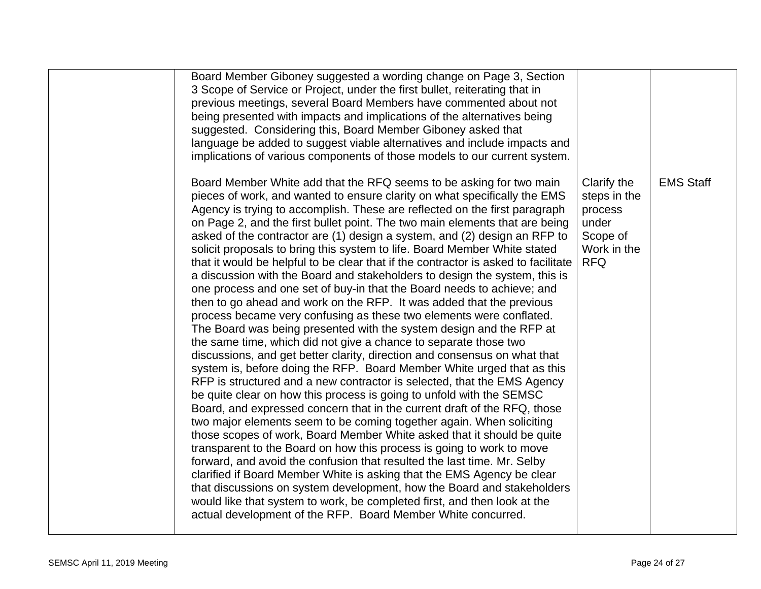| Board Member Giboney suggested a wording change on Page 3, Section<br>3 Scope of Service or Project, under the first bullet, reiterating that in<br>previous meetings, several Board Members have commented about not<br>being presented with impacts and implications of the alternatives being<br>suggested. Considering this, Board Member Giboney asked that<br>language be added to suggest viable alternatives and include impacts and<br>implications of various components of those models to our current system.                                                                                                                                                                                                                                                                                                                                                                                                                                                                                                                                                                                                                                                                                                                                                                                                                                                                                                                                                                                                                                                                                                                                                                                                                                                                                                                                                                                                                                                                                   |                                                                                          |                  |
|-------------------------------------------------------------------------------------------------------------------------------------------------------------------------------------------------------------------------------------------------------------------------------------------------------------------------------------------------------------------------------------------------------------------------------------------------------------------------------------------------------------------------------------------------------------------------------------------------------------------------------------------------------------------------------------------------------------------------------------------------------------------------------------------------------------------------------------------------------------------------------------------------------------------------------------------------------------------------------------------------------------------------------------------------------------------------------------------------------------------------------------------------------------------------------------------------------------------------------------------------------------------------------------------------------------------------------------------------------------------------------------------------------------------------------------------------------------------------------------------------------------------------------------------------------------------------------------------------------------------------------------------------------------------------------------------------------------------------------------------------------------------------------------------------------------------------------------------------------------------------------------------------------------------------------------------------------------------------------------------------------------|------------------------------------------------------------------------------------------|------------------|
| Board Member White add that the RFQ seems to be asking for two main<br>pieces of work, and wanted to ensure clarity on what specifically the EMS<br>Agency is trying to accomplish. These are reflected on the first paragraph<br>on Page 2, and the first bullet point. The two main elements that are being<br>asked of the contractor are (1) design a system, and (2) design an RFP to<br>solicit proposals to bring this system to life. Board Member White stated<br>that it would be helpful to be clear that if the contractor is asked to facilitate<br>a discussion with the Board and stakeholders to design the system, this is<br>one process and one set of buy-in that the Board needs to achieve; and<br>then to go ahead and work on the RFP. It was added that the previous<br>process became very confusing as these two elements were conflated.<br>The Board was being presented with the system design and the RFP at<br>the same time, which did not give a chance to separate those two<br>discussions, and get better clarity, direction and consensus on what that<br>system is, before doing the RFP. Board Member White urged that as this<br>RFP is structured and a new contractor is selected, that the EMS Agency<br>be quite clear on how this process is going to unfold with the SEMSC<br>Board, and expressed concern that in the current draft of the RFQ, those<br>two major elements seem to be coming together again. When soliciting<br>those scopes of work, Board Member White asked that it should be quite<br>transparent to the Board on how this process is going to work to move<br>forward, and avoid the confusion that resulted the last time. Mr. Selby<br>clarified if Board Member White is asking that the EMS Agency be clear<br>that discussions on system development, how the Board and stakeholders<br>would like that system to work, be completed first, and then look at the<br>actual development of the RFP. Board Member White concurred. | Clarify the<br>steps in the<br>process<br>under<br>Scope of<br>Work in the<br><b>RFQ</b> | <b>EMS Staff</b> |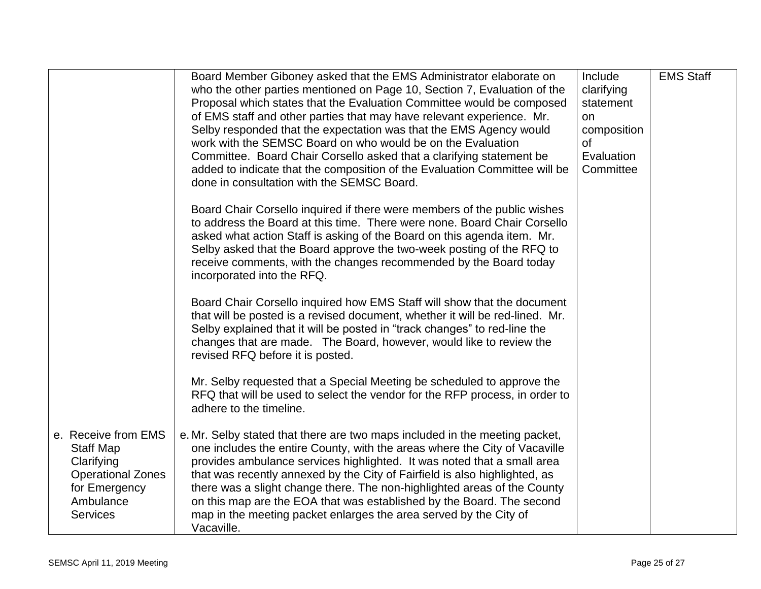|                                                                                                                                    | Board Member Giboney asked that the EMS Administrator elaborate on<br>who the other parties mentioned on Page 10, Section 7, Evaluation of the<br>Proposal which states that the Evaluation Committee would be composed<br>of EMS staff and other parties that may have relevant experience. Mr.<br>Selby responded that the expectation was that the EMS Agency would<br>work with the SEMSC Board on who would be on the Evaluation<br>Committee. Board Chair Corsello asked that a clarifying statement be<br>added to indicate that the composition of the Evaluation Committee will be<br>done in consultation with the SEMSC Board.<br>Board Chair Corsello inquired if there were members of the public wishes<br>to address the Board at this time. There were none. Board Chair Corsello<br>asked what action Staff is asking of the Board on this agenda item. Mr.<br>Selby asked that the Board approve the two-week posting of the RFQ to<br>receive comments, with the changes recommended by the Board today<br>incorporated into the RFQ.<br>Board Chair Corsello inquired how EMS Staff will show that the document<br>that will be posted is a revised document, whether it will be red-lined. Mr.<br>Selby explained that it will be posted in "track changes" to red-line the<br>changes that are made. The Board, however, would like to review the<br>revised RFQ before it is posted. | Include<br>clarifying<br>statement<br>on<br>composition<br>of<br>Evaluation<br>Committee | <b>EMS Staff</b> |
|------------------------------------------------------------------------------------------------------------------------------------|-------------------------------------------------------------------------------------------------------------------------------------------------------------------------------------------------------------------------------------------------------------------------------------------------------------------------------------------------------------------------------------------------------------------------------------------------------------------------------------------------------------------------------------------------------------------------------------------------------------------------------------------------------------------------------------------------------------------------------------------------------------------------------------------------------------------------------------------------------------------------------------------------------------------------------------------------------------------------------------------------------------------------------------------------------------------------------------------------------------------------------------------------------------------------------------------------------------------------------------------------------------------------------------------------------------------------------------------------------------------------------------------------------------|------------------------------------------------------------------------------------------|------------------|
|                                                                                                                                    | Mr. Selby requested that a Special Meeting be scheduled to approve the<br>RFQ that will be used to select the vendor for the RFP process, in order to<br>adhere to the timeline.                                                                                                                                                                                                                                                                                                                                                                                                                                                                                                                                                                                                                                                                                                                                                                                                                                                                                                                                                                                                                                                                                                                                                                                                                            |                                                                                          |                  |
| e. Receive from EMS<br><b>Staff Map</b><br>Clarifying<br><b>Operational Zones</b><br>for Emergency<br>Ambulance<br><b>Services</b> | e. Mr. Selby stated that there are two maps included in the meeting packet,<br>one includes the entire County, with the areas where the City of Vacaville<br>provides ambulance services highlighted. It was noted that a small area<br>that was recently annexed by the City of Fairfield is also highlighted, as<br>there was a slight change there. The non-highlighted areas of the County<br>on this map are the EOA that was established by the Board. The second<br>map in the meeting packet enlarges the area served by the City of<br>Vacaville.                                                                                                                                                                                                                                                                                                                                                                                                                                                                                                                                                                                                                                                                                                                                                                                                                                                  |                                                                                          |                  |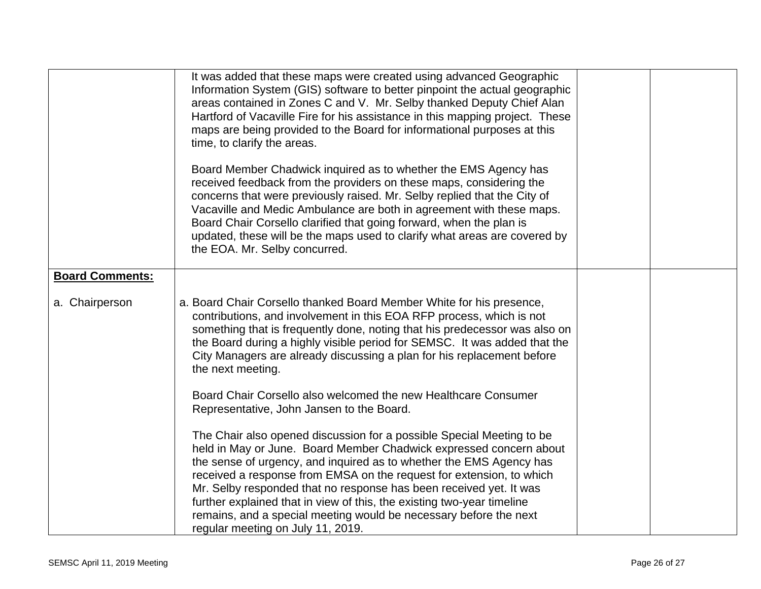|                        | It was added that these maps were created using advanced Geographic<br>Information System (GIS) software to better pinpoint the actual geographic<br>areas contained in Zones C and V. Mr. Selby thanked Deputy Chief Alan<br>Hartford of Vacaville Fire for his assistance in this mapping project. These<br>maps are being provided to the Board for informational purposes at this<br>time, to clarify the areas.<br>Board Member Chadwick inquired as to whether the EMS Agency has<br>received feedback from the providers on these maps, considering the<br>concerns that were previously raised. Mr. Selby replied that the City of<br>Vacaville and Medic Ambulance are both in agreement with these maps.<br>Board Chair Corsello clarified that going forward, when the plan is<br>updated, these will be the maps used to clarify what areas are covered by<br>the EOA. Mr. Selby concurred. |  |
|------------------------|---------------------------------------------------------------------------------------------------------------------------------------------------------------------------------------------------------------------------------------------------------------------------------------------------------------------------------------------------------------------------------------------------------------------------------------------------------------------------------------------------------------------------------------------------------------------------------------------------------------------------------------------------------------------------------------------------------------------------------------------------------------------------------------------------------------------------------------------------------------------------------------------------------|--|
| <b>Board Comments:</b> |                                                                                                                                                                                                                                                                                                                                                                                                                                                                                                                                                                                                                                                                                                                                                                                                                                                                                                         |  |
| a. Chairperson         | a. Board Chair Corsello thanked Board Member White for his presence,<br>contributions, and involvement in this EOA RFP process, which is not<br>something that is frequently done, noting that his predecessor was also on<br>the Board during a highly visible period for SEMSC. It was added that the<br>City Managers are already discussing a plan for his replacement before<br>the next meeting.                                                                                                                                                                                                                                                                                                                                                                                                                                                                                                  |  |
|                        | Board Chair Corsello also welcomed the new Healthcare Consumer<br>Representative, John Jansen to the Board.                                                                                                                                                                                                                                                                                                                                                                                                                                                                                                                                                                                                                                                                                                                                                                                             |  |
|                        | The Chair also opened discussion for a possible Special Meeting to be<br>held in May or June. Board Member Chadwick expressed concern about<br>the sense of urgency, and inquired as to whether the EMS Agency has<br>received a response from EMSA on the request for extension, to which<br>Mr. Selby responded that no response has been received yet. It was<br>further explained that in view of this, the existing two-year timeline<br>remains, and a special meeting would be necessary before the next<br>regular meeting on July 11, 2019.                                                                                                                                                                                                                                                                                                                                                    |  |